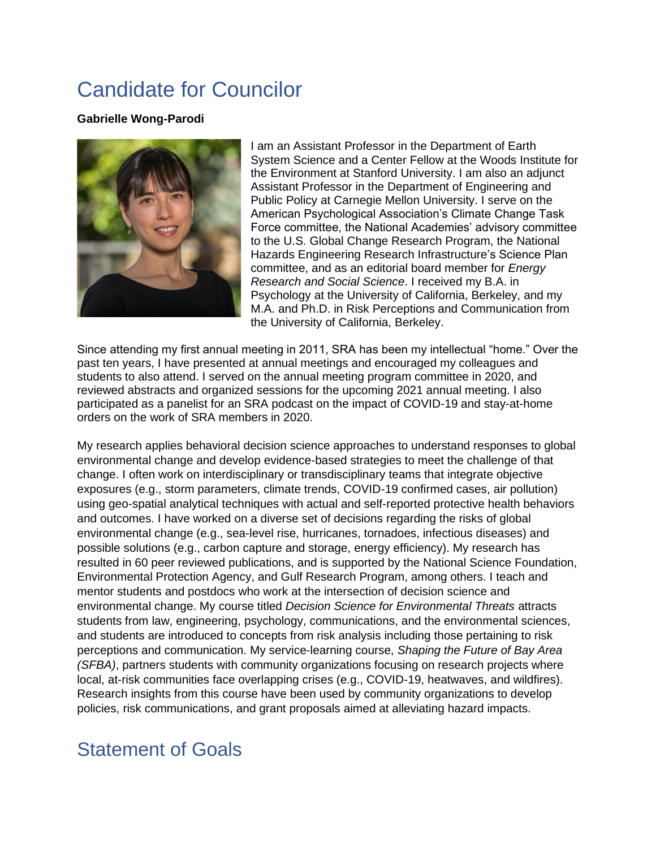## Candidate for Councilor

## **Gabrielle Wong-Parodi**



I am an Assistant Professor in the Department of Earth System Science and a Center Fellow at the Woods Institute for the Environment at Stanford University. I am also an adjunct Assistant Professor in the Department of Engineering and Public Policy at Carnegie Mellon University. I serve on the American Psychological Association's Climate Change Task Force committee, the National Academies' advisory committee to the U.S. Global Change Research Program, the National Hazards Engineering Research Infrastructure's Science Plan committee, and as an editorial board member for *Energy Research and Social Science*. I received my B.A. in Psychology at the University of California, Berkeley, and my M.A. and Ph.D. in Risk Perceptions and Communication from the University of California, Berkeley.

Since attending my first annual meeting in 2011, SRA has been my intellectual "home." Over the past ten years, I have presented at annual meetings and encouraged my colleagues and students to also attend. I served on the annual meeting program committee in 2020, and reviewed abstracts and organized sessions for the upcoming 2021 annual meeting. I also participated as a panelist for an SRA podcast on the impact of COVID-19 and stay-at-home orders on the work of SRA members in 2020.

My research applies behavioral decision science approaches to understand responses to global environmental change and develop evidence-based strategies to meet the challenge of that change. I often work on interdisciplinary or transdisciplinary teams that integrate objective exposures (e.g., storm parameters, climate trends, COVID-19 confirmed cases, air pollution) using geo-spatial analytical techniques with actual and self-reported protective health behaviors and outcomes. I have worked on a diverse set of decisions regarding the risks of global environmental change (e.g., sea-level rise, hurricanes, tornadoes, infectious diseases) and possible solutions (e.g., carbon capture and storage, energy efficiency). My research has resulted in 60 peer reviewed publications, and is supported by the National Science Foundation, Environmental Protection Agency, and Gulf Research Program, among others. I teach and mentor students and postdocs who work at the intersection of decision science and environmental change. My course titled *Decision Science for Environmental Threats* attracts students from law, engineering, psychology, communications, and the environmental sciences, and students are introduced to concepts from risk analysis including those pertaining to risk perceptions and communication. My service-learning course, *Shaping the Future of Bay Area (SFBA)*, partners students with community organizations focusing on research projects where local, at-risk communities face overlapping crises (e.g., COVID-19, heatwaves, and wildfires). Research insights from this course have been used by community organizations to develop policies, risk communications, and grant proposals aimed at alleviating hazard impacts.

## Statement of Goals